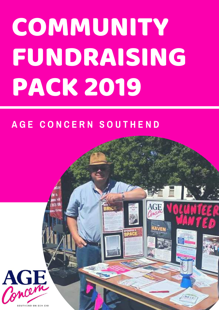# COMMUNITY FUNDRAISING PACK 2019

### **A G E C O N C E R N S O U T H E N D**

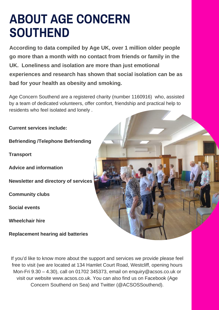## **ABOUT AGE CONCERN SOUTHEND**

**According to data compiled by Age UK, over 1 million older people go more than a month with no contact from friends or family in the UK. Loneliness and isolation are more than just emotional experiences and research has shown that social isolation can be as bad for your health as obesity and smoking.**

Age Concern Southend are a registered charity (number 1160916) who, assisted by a team of dedicated volunteers, offer comfort, friendship and practical help to residents who feel isolated and lonely .

**Current services include:**

**Befriending /Telephone Befriending**

**Transport**

**Advice and information**

**Newsletter and directory of services**

**Community clubs**

**Social events**

**Wheelchair hire**

**Replacement hearing aid batteries**



If you'd like to know more about the support and services we provide please feel free to visit (we are located at 134 Hamlet Court Road, Westcliff, opening hours Mon-Fri 9.30 – 4.30), call on 01702 345373, email on enquiry@acsos.co.uk or visit our website www.acsos.co.uk. You can also find us on Facebook (Age Concern Southend on Sea) and Twitter (@ACSOSSouthend).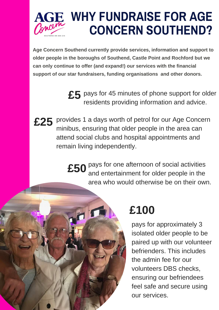

# **WHY FUNDRAISE FOR AGE CONCERN SOUTHEND?**

**Age Concern Southend currently provide services, information and support to older people in the boroughs of Southend, Castle Point and Rochford but we can only continue to offer (and expand!) our services with the financial support of our star fundraisers, funding organisations and other donors.**

> £5 pays for 45 minutes of phone support for older residents providing information and advice.

£25 provides 1 a days worth of petrol for our Age Concern minibus, ensuring that older people in the area can attend social clubs and hospital appointments and remain living independently.

> £50 <sup>pays for one afternoon of social activities<br>and entertainment for older people in the</sup> and entertainment for older people in the area who would otherwise be on their own.



### **£100**

pays for approximately 3 isolated older people to be paired up with our volunteer befrienders. This includes the admin fee for our volunteers DBS checks, ensuring our befriendees feel safe and secure using our services.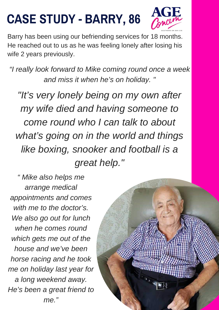# **CASE STUDY - BARRY, 86**



Barry has been using our befriending services for 18 months. He reached out to us as he was feeling lonely after losing his wife 2 years previously.

*"I really look forward to Mike coming round once a week and miss it when he's on holiday. "*

*"It's very lonely being on my own after my wife died and having someone to come round who I can talk to about what's going on in the world and things like boxing, snooker and football is a great help."*

*" Mike also helps me arrange medical appointments and comes with me to the doctor's. We also go out for lunch when he comes round which gets me out of the house and we've been horse racing and he took me on holiday last year for a long weekend away. He's been a great friend to me."*

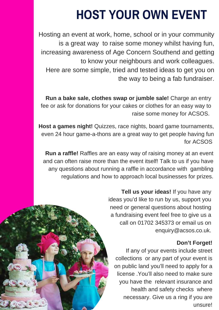# **HOST YOUR OWN EVENT**

Hosting an event at work, home, school or in your community is a great way to raise some money whilst having fun, increasing awareness of Age Concern Southend and getting to know your neighbours and work colleagues. Here are some simple, tried and tested ideas to get you on the way to being a fab fundraiser.

**Run a bake sale, clothes swap or jumble sale!** Charge an entry fee or ask for donations for your cakes or clothes for an easy way to raise some money for ACSOS.

**Host a games night!** Quizzes, race nights, board game tournaments, even 24 hour game-a-thons are a great way to get people having fun for ACSOS

**Run a raffle!** Raffles are an easy way of raising money at an event and can often raise more than the event itself! Talk to us if you have any questions about running a raffle in accordance with gambling regulations and how to approach local businesses for prizes.

> **Tell us your ideas!** If you have any ideas you'd like to run by us, support you need or general questions about hosting a fundraising event feel free to give us a call on 01702 345373 or email us on enquiry@acsos.co.uk.

#### **Don't Forget!**

If any of your events include street collections or any part of your event is on public land you'll need to apply for a license .You'll also need to make sure you have the relevant insurance and health and safety checks where necessary. Give us a ring if you are unsure!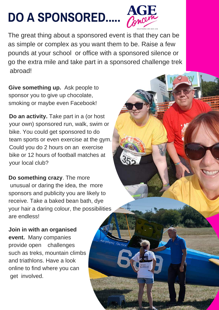# **DO A SPONSORED.....**



The great thing about a sponsored event is that they can be as simple or complex as you want them to be. Raise a few pounds at your school or office with a sponsored silence or go the extra mile and take part in a sponsored challenge trek abroad!

**Give something up.** Ask people to sponsor you to give up chocolate, smoking or maybe even Facebook!

**Do an activity.** Take part in a (or host your own) sponsored run, walk, swim or bike. You could get sponsored to do team sports or even exercise at the gym. Could you do 2 hours on an exercise bike or 12 hours of football matches at your local club?

**Do something crazy**. The more unusual or daring the idea, the more sponsors and publicity you are likely to receive. Take a baked bean bath, dye your hair a daring colour, the possibilities are endless!

**Join in with an organised event.** Many companies provide open challenges such as treks, mountain climbs and triathlons. Have a look online to find where you can get involved.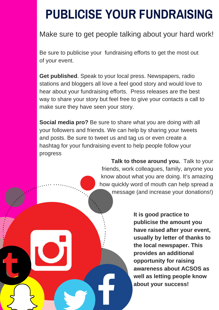# **PUBLICISE YOUR FUNDRAISING**

#### Make sure to get people talking about your hard work!

Be sure to publicise your fundraising efforts to get the most out of your event.

**Get published**. Speak to your local press. Newspapers, radio stations and bloggers all love a feel good story and would love to hear about your fundraising efforts. Press releases are the best way to share your story but feel free to give your contacts a call to make sure they have seen your story.

**Social media pro?** Be sure to share what you are doing with all your followers and friends. We can help by sharing your tweets and posts. Be sure to tweet us and tag us or even create a hashtag for your fundraising event to help people follow your progress

> **Talk to those around you.** Talk to your friends, work colleagues, family, anyone you know about what you are doing. It's amazing how quickly word of mouth can help spread a message (and increase your donations!)

> > **It is good practice to publicise the amount you have raised after your event, usually by letter of thanks to the local newspaper. This provides an additional opportunity for raising awareness about ACSOS as well as letting people know about your success!**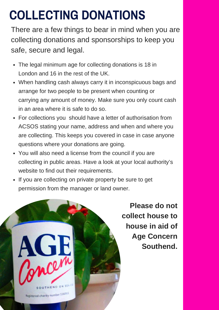# **COLLECTING DONATIONS**

There are a few things to bear in mind when you are collecting donations and sponsorships to keep you safe, secure and legal.

- The legal minimum age for collecting donations is 18 in London and 16 in the rest of the UK.
- When handling cash always carry it in inconspicuous bags and arrange for two people to be present when counting or carrying any amount of money. Make sure you only count cash in an area where it is safe to do so.
- For collections you should have a letter of authorisation from ACSOS stating your name, address and when and where you are collecting. This keeps you covered in case in case anyone questions where your donations are going.
- You will also need a license from the council if you are collecting in public areas. Have a look at your local authority's website to find out their requirements.
- If you are collecting on private property be sure to get permission from the manager or land owner.



**Please do not collect house to house in aid of Age Concern Southend.**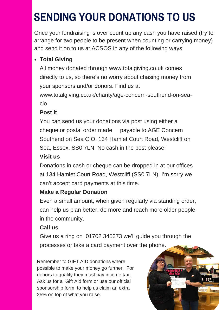# **SENDING YOUR DONATIONS TO US**

Once your fundraising is over count up any cash you have raised (try to arrange for two people to be present when counting or carrying money) and send it on to us at ACSOS in any of the following ways:

#### **Total Giving**

All money donated through www.totalgiving.co.uk comes directly to us, so there's no worry about chasing money from your sponsors and/or donors. Find us at www.totalgiving.co.uk/charity/age-concern-southend-on-seacio

#### **Post it**

You can send us your donations via post using either a cheque or postal order made payable to AGE Concern Southend on Sea CIO, 134 Hamlet Court Road, Westcliff on Sea, Essex, SS0 7LN. No cash in the post please!

#### **Visit us**

Donations in cash or cheque can be dropped in at our offices at 134 Hamlet Court Road, Westcliff (SS0 7LN). I'm sorry we can't accept card payments at this time.

#### **Make a Regular Donation**

Even a small amount, when given regularly via standing order, can help us plan better, do more and reach more older people in the community.

#### **Call us**

Give us a ring on 01702 345373 we'll guide you through the processes or take a card payment over the phone.

Remember to GIFT AID donations where possible to make your money go further. For donors to qualify they must pay income tax . Ask us for a Gift Aid form or use our official sponsorship form to help us claim an extra 25% on top of what you raise.